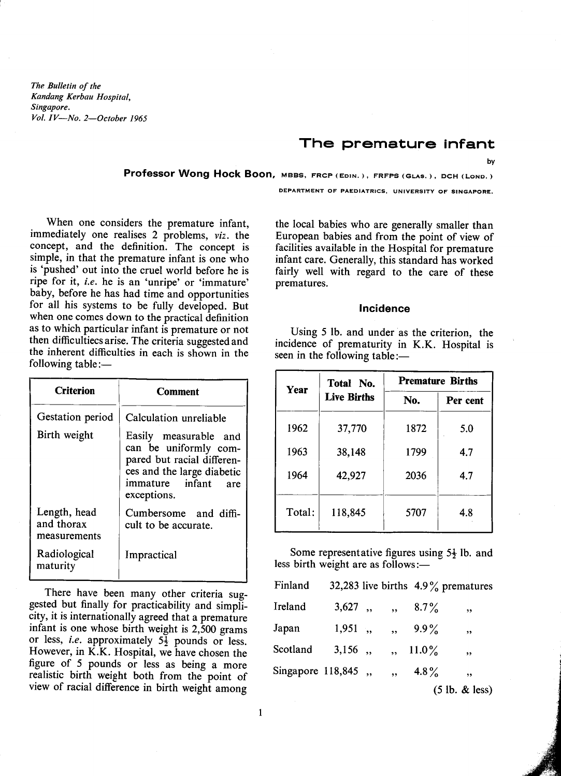*The Bulletin of the Kandang Kerbau Hospital, Singapore. Vol. IV-No. 2-0ctober 1965*

# The premature infant

by

Professor Wong Hock Boon, MBBS, FRCP (EDIN.), FRFPS (GLAS.), DCH (LOND.)

DEPARTMENT OF PAEDIATRICS, UNIVERSITY OF SINGAPORE.

When one considers the premature infant, immediately one realises 2 problems, *viz*. the concept, and the definition. The concept is simple, in that the premature infant is one who is 'pushed' out into the cruel world before he is ripe for it, *i.e.* he is an 'unripe' or 'immature' baby, before he has had time and opportunities for all his systems to be fully developed. But when one comes down to the practical definition as to which particular infant is premature or not then difficultiecsarise. The criteria suggested and the inherent difficulties in each is shown in the following table: $-$ 

| <b>Criterion</b>                           | Comment                                                                                                                                             |  |  |
|--------------------------------------------|-----------------------------------------------------------------------------------------------------------------------------------------------------|--|--|
| Gestation period                           | Calculation unreliable                                                                                                                              |  |  |
| Birth weight                               | Easily measurable and<br>can be uniformly com-<br>pared but racial differen-<br>ces and the large diabetic<br>immature infant<br>are<br>exceptions. |  |  |
| Length, head<br>and thorax<br>measurements | Cumbersome and diffi-<br>cult to be accurate.                                                                                                       |  |  |
| Radiological<br>maturity                   | Impractical                                                                                                                                         |  |  |

There have been many other criteria suggested but finally for practicability and simplicity, it is internationally agreed that a premature infant is one whose birth weight is 2,500 grams or less, *i.e.* approximately  $5\frac{1}{2}$  pounds or less. However, in K.K. Hospital, we have chosen the figure of 5 pounds or less as being a more realistic birth weight both from the point of view of racial difference in birth weight among the local babies who are generally smaller than European babies and from the point of view of facilities available in the Hospital for premature infant care. Generally, this standard has worked fairly well with regard to the care of these prematures.

# **Incidence**

Using 5 lb. and under as the criterion, the incidence of prematurity in K.K. Hospital is seen in the following table: $-$ 

| Year   | Total No.          | <b>Premature Births</b> |          |
|--------|--------------------|-------------------------|----------|
|        | <b>Live Births</b> | No.                     | Per cent |
| 1962   | 37,770             | 1872                    | 5.0      |
| 1963   | 38,148             | 1799                    | 4.7      |
| 1964   | 42,927             | 2036                    | 4.7      |
| Total: | 118,845            | 5707                    | 4.8      |

Some representative figures using  $5\frac{1}{2}$  lb. and less birth weight are as follows:-

| Finland            |            |                      |          | 32,283 live births $4.9\%$ prematures |
|--------------------|------------|----------------------|----------|---------------------------------------|
| Ireland            | 3,627,     | $\ddot{\bullet}$     | $8.7\%$  | ,                                     |
| Japan              | $1,951,$ , | $\ddot{\phantom{0}}$ | $9.9\%$  | ,,                                    |
| Scotland           | $3,156$ ,  |                      | $11.0\%$ | , ,                                   |
| Singapore 118,845, |            |                      | 4.8%     | ,,                                    |
|                    |            |                      |          | (5 lb. & less)                        |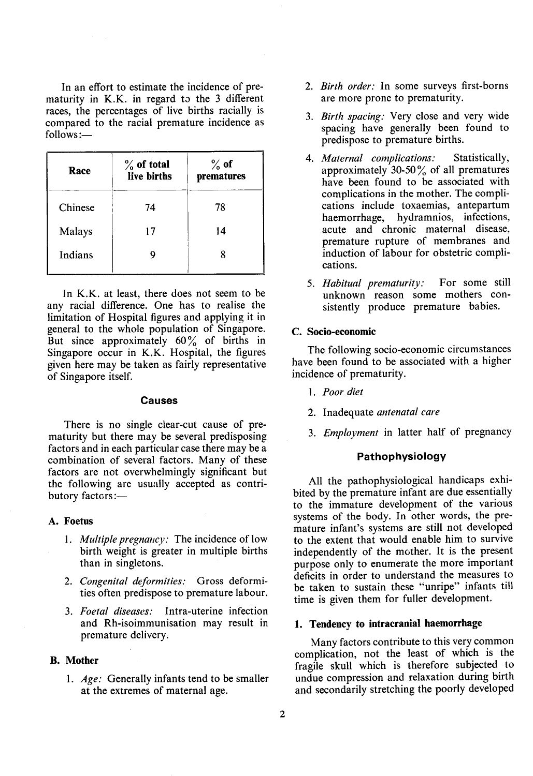In an effort to estimate the incidence of prematurity in  $K.K.$  in regard to the 3 different races, the percentages of live births racially is compared to the racial premature incidence as follows:-

| Race    | $\%$ of total<br>live births | $\%$ of<br>prematures |
|---------|------------------------------|-----------------------|
| Chinese | 74                           | 78                    |
| Malays  | 17                           | 14                    |
| Indians |                              |                       |

In K.K. at least, there does not seem to be any racial difference. One has to realise the limitation of Hospital figures and applying it in general to the whole population of Singapore. But since approximately  $60\%$  of births in Singapore occur in K.K. Hospital, the figures given here may be taken as fairly representative of Singapore itself.

#### **Causes**

There is no single clear-cut cause of prematurity but there may be several predisposing factors and in each particular case there may be a combination of several factors. Many of these factors are not overwhelmingly significant but the following are usually accepted as contributory factors:-

# A. Foetus

- 1. *Multiple pregnancy:* The incidence of low birth weight is greater in multiple births than in singletons.
- *2. Congenital deformities:* Gross deformities often predispose to premature labour.
- *3. Foetal diseases:* Intra-uterine infection and Rh-isoimmunisation may result in premature delivery.

# B. Mother

1. *Age:* Generally infants tend to be smaller at the extremes of maternal age.

- *2. Birth order:* In some surveys first-borns are more prone to prematurity.
- *3. Birth spacing:* Very close and very wide spacing have generally been found to predispose to premature births.
- *4. Maternal complications:* Statistically, approximately 30-50 $\%$  of all prematures have been found to be associated with complications in the mother. The complications include toxaemias, antepartum haemorrhage, hydramnios, infections, acute and chronic maternal disease, premature rupture of membranes and induction of labour for obstetric complications.
- *5. Habitual prematurity:* For some still unknown reason some mothers consistently produce premature babies.

## C. Socio-economic

The following socio-economic circumstances have been found to be associated with a higher incidence of prematurity.

- *1. Poor diet*
- 2. Inadequate *antenatal care*
- *3. Employment* in latter half of pregnancy

# Pathophysiology

All the pathophysiological handicaps exhibited by the premature infant are due essentially to the immature development of the various systems of the body. In other words, the premature infant's systems are still not developed to the extent that would enable him to survive independently of the mother. It is the present purpose only to enumerate the more important deficits in order to understand the measures to be taken to sustain these "unripe" infants till time is given them for fuller development.

# 1. Tendency to intracranial haemorrhage

Many factors contribute to this very common complication, not the least of which is the fragile skull which is therefore subjected to undue compression and relaxation during birth and secondarily stretching the poorly developed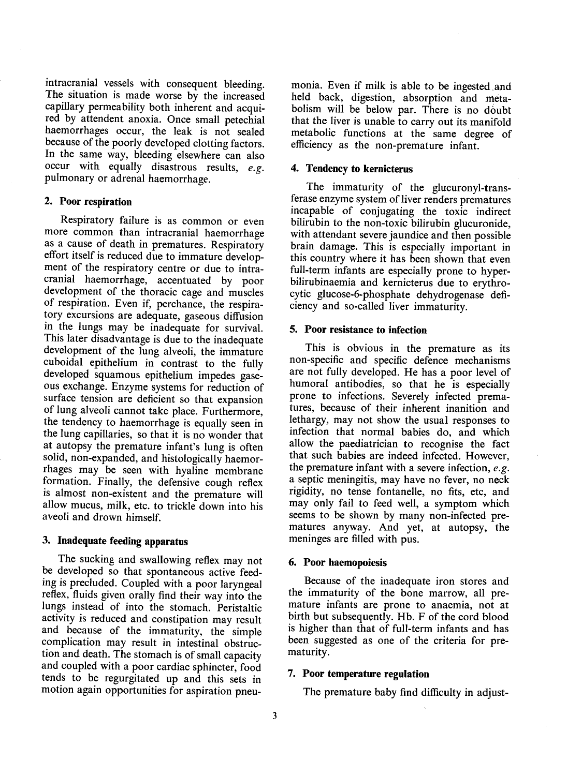intracranial vessels with consequent bleeding. The situation is made worse by the increased capillary permeability both inherent and acquired by attendent anoxia. Once small petechial haemorrhages occur, the leak is not sealed because of the poorly developed clotting factors. In the same way, bleeding elsewhere can also occur with equally disastrous results, *e.g.* pulmonary or adrenal haemorrhage.

# 2. Poor respiration

Respiratory failure is as common or even more common than intracranial haemorrhage as a cause of death in prematures. Respiratory effort itself is reduced due to immature development of the respiratory centre or due to intracranial haemorrhage, accentuated by poor development of the thoracic cage and muscles of respiration. Even if, perchance, the respiratory excursions are adequate, gaseous diffusion in the lungs may be inadequate for survival. This later disadvantage is due to the inadequate development of the lung alveoli, the immature cuboidal epithelium in contrast to the fully developed squamous epithelium impedes gaseous exchange. Enzyme systems for reduction of surface tension are deficient so that expansion of lung alveoli cannot take place. Furthermore, the tendency to haemorrhage is equally seen in the lung capillaries, so that it is no wonder that at autopsy the premature infant's lung is often solid, non-expanded, and histologically haemorrhages may be seen with hyaline membrane formation. Finally, the defensive cough reflex is almost non-existent and the premature will allow mucus, milk, etc. to trickle down into his aveoli and drown himself.

# 3. Inadequate feeding apparatus

The sucking and swallowing reflex may not be developed so that spontaneous active feeding is precluded. Coupled with a poor laryngeal reflex, fluids given orally find their way into the lungs instead of into the stomach. Peristaltic activity is reduced and constipation may result and because of the immaturity, the simple complication may result in intestinal obstruction and death. The stomach is of small capacity and coupled with a poor cardiac sphincter, food tends to be regurgitated up and this sets in motion again opportunities for aspiration pneumonia. Even if milk is able to be ingested and held back, digestion, absorption and metabolism will be below par. There is no doubt that the liver is unable to carry out its manifold metabolic functions at the same degree of efficiency as the non-premature infant.

# 4. Tendency to kernicterus

The immaturity of the glucuronyl-transferase enzyme system of liver renders prematures incapable of conjugating the toxic indirect bilirubin to the non-toxic bilirubin glucuronide, with attendant severe jaundice and then possible brain damage. This is especially important in this country where it has been shown that even full-term infants are especially prone to hyperbilirubinaemia and kernicterus due to erythrocytic glucose-6-phosphate dehydrogenase deficiency and so-called liver immaturity.

# 5. Poor resistance to infection

This is obvious in the premature as its non-specific and specific defence mechanisms are not fully developed. He has a poor level of humoral antibodies, so that he is especially prone to infections. Severely infected prematures, because of their inherent inanition and lethargy, may not show the usual responses to infection that normal babies do, and which allow the paediatrician to recognise the fact that such babies are indeed infected. However, the premature infant with a severe infection, *e.g.* a septic meningitis, may have no fever, no neck rigidity, no tense fontanelle, no fits, etc, and may only fail to feed well, a symptom which seems to be shown by many non-infected prematures anyway. And yet, at autopsy, the meninges are filled with pus.

#### 6. Poor haemopoiesis

Because of the inadequate iron stores and the immaturity of the bone marrow, all premature infants are prone to anaemia, not at birth but subsequently. Hb. F of the cord blood is higher than that of full-term infants and has been suggested as one of the criteria for prematurity.

#### 7. Poor temperature regulation

The premature baby find difficulty in adjust-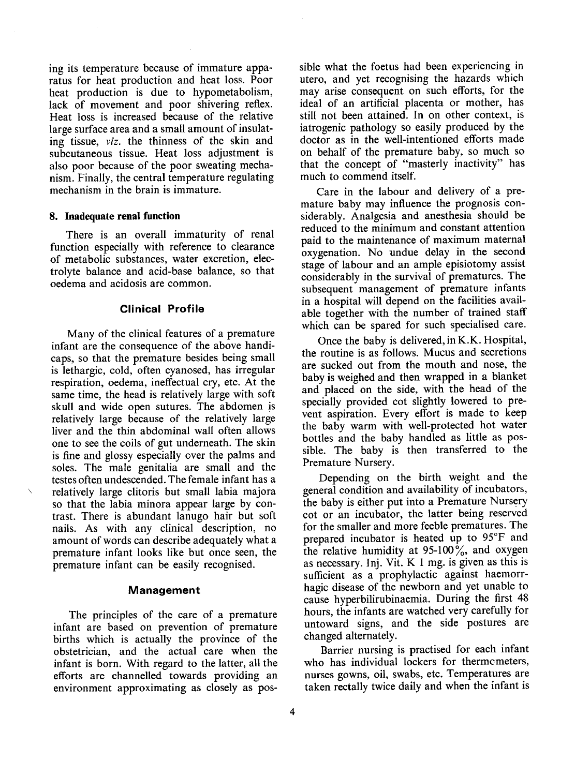ing its temperature because of immature apparatus for heat production and heat loss. Poor heat production is due to hypometabolism, lack of movement and poor shivering reflex. Heat loss is increased because of the relative large surface area and a small amount of insulating tissue, *viz.* the thinness of the skin and subcutaneous tissue. Heat loss adjustment is also poor because of the poor sweating mechanism. Finally, the central temperature regulating mechanism in the brain is immature.

#### **8. Inadequate renal function**

There is an overall immaturity of renal function especially with reference to clearance of metabolic substances, water excretion, electrolyte balance and acid-base balance, so that oedema and acidosis are common.

#### **Clinical Profile**

Many of the clinical features of a premature infant are the consequence of the above handicaps, so that the premature besides being small is lethargic, cold, often cyanosed, has irregular respiration, oedema, ineffectual cry, etc. At the same time, the head is relatively large with soft skull and wide open sutures. The abdomen is relatively large because of the relatively large liver and the thin abdominal wall often allows one to see the coils of gut underneath. The skin is fine and glossy especially over the palms and soles. The male genitalia are small and the testes often undescended. The female infant has a relatively large clitoris but small labia majora so that the labia minora appear large by contrast. There is abundant lanugo hair but soft nails. As with any clinical description, no amount of words can describe adequately what a premature infant looks like but once seen, the premature infant can be easily recognised.

#### Management

The principles of the care of a premature infant are based on prevention of premature births which is actually the province of the obstetrician, and the actual care when the infant is born. With regard to the latter, all the efforts are channelled towards providing an environment approximating as closely as possible what the foetus had been experiencing in utero, and yet recognising the hazards which may arise consequent on such efforts, for the ideal of an artificial placenta or mother, has still not been attained. In on other context, is iatrogenic pathology so easily produced by the doctor as in the well-intentioned efforts made on behalf of the premature baby, so much so that the concept. of "masterly inactivity" has much to commend itself.

Care in the labour and delivery of a premature baby may influence the prognosis considerably. Analgesia and anesthesia should be reduced to the minimum and constant attention paid to the maintenance of maximum maternal oxygenation. No undue delay in the second stage of labour and an ample episiotomy assist considerably in the survival of prematures. The subsequent management of premature infants in a hospital will depend on the facilities available together with the number of trained staff which can be spared for such specialised care.

Once the baby is delivered, in K.K. Hospital, the routine is as follows. Mucus and secretions are sucked out from the mouth and nose, the baby is weighed and then wrapped in a blanket and placed on the side, with the head of the specially provided cot slightly lowered to prevent aspiration. Every effort is made to keep the baby warm with well-protected hot water bottles and the baby handled as little as possible. The baby is then transferred to the Premature Nursery.

Depending on the birth weight and the general condition and availability of incubators, the baby is either put into a Premature Nursery cot or an incubator, the latter being reserved for the smaller and more feeble prematures. The prepared incubator is heated up to 95°F and the relative humidity at 95-100%, and oxygen as necessary. Inj. Vit.  $K_1$  mg. is given as this is sufficient as a prophylactic against haemorrhagic disease of the newborn and yet unable to cause hyperbilirubinaemia. During the first 48 hours, the infants are watched very carefully for untoward signs, and the side postures are changed alternately.

Barrier nursing is practised for each infant who has individual lockers for thermcmeters, nurses gowns, oil, swabs, etc. Temperatures are taken rectally twice daily and when the infant is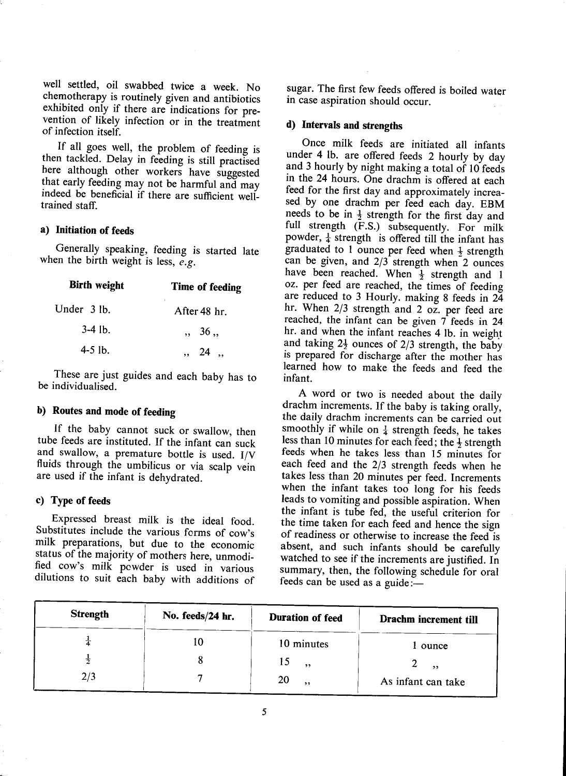well settled, oil swabbed twice a week. No chemotherapy is routinely given and antibiotics exhibited only if there are indications for preexhibited only if there are indications for prevention of likely infection or in the treatment

of infection itself.<br>If all goes well, the problem of feeding is If all goes well, the problem of feeding  $\frac{1}{2}$ then tackled. Delay in feeding is still practised here although other workers have suggested that early feeding may not be harmful and may indeed be beneficial if there are sufficient welltrained staff.

# **a) Initiation of feeds**

Generally speaking, feeding is started late when the birth weight is less, *e.g.*

| <b>Birth weight</b><br>Time of feeding |                              |
|----------------------------------------|------------------------------|
| Under 3 lb.                            | After 48 hr.                 |
| $3-4$ lb.                              | $\, \cdot \, 36 \, \cdot \,$ |
| $4-5$ lb.                              | ,, 24,                       |

These are just guides and each baby has to be individualised.

# b) **Routes and mode of feeding**

If the baby cannot suck or swallow, then tube feeds are instituted. If the infant can suck and swallow, a premature bottle is used. I/V fluids through the umbilicus or via scalp vein are used if the infant is dehydrated.

# c) Type of feeds

Expressed breast milk is the ideal food. Substitutes include the various forms of cow's milk preparations, but due to the economic status of the majority of mothers here, unmodified cow's milk pcwder is used in various dilutions to suit each baby with additions of sugar. The first few feeds offered is boiled water in case aspiration should occur.

# **d) Intervals and strengths**

Once milk feeds are initiated all infants under 4 lb. are offered feeds 2 hourly by day and 3 hourly by night making a total of 10 feeds in the 24 hours. One drachm is offered at each feed for the first day and approximately increased by one drachm per feed each day. EBM needs to be in  $\frac{1}{2}$  strength for the first day and full strength (F.S.) subsequently. For milk powder,  $\frac{1}{4}$  strength is offered till the infant has graduated to 1 ounce per feed when  $\frac{1}{2}$  strength can be given, and 2/3 strength when 2 ounces have been reached. When  $\frac{1}{2}$  strength and 1 oz. per feed are reached, the times of feeding are reduced to 3 Hourly. making 8 feeds in 24 hr. When 2/3 strength and 2 oz. per feed are reached, the infant can be given  $7$  feeds in 24 hr. and when the infant reaches 4 lb. in weight and taking  $2\frac{1}{2}$  ounces of  $2/3$  strength, the baby is prepared for discharge after the mother has learned how to make the feeds and feed the infant.

A word or two is needed about the daily drachm increments. If the baby is taking orally, the daily drachm increments can be carried out smoothly if while on  $\frac{1}{4}$  strength feeds, he takes less than 10 minutes for each feed; the  $\frac{1}{2}$  strength feeds when he takes less than 15 minutes for each feed and the 2/3 strength feeds when he takes less than 20 minutes per feed. Increments when the infant takes too long for his feeds leads to vomiting and possible aspiration. When the infant is tube fed, the useful criterion for the time taken for each feed and hence the sign of readiness or otherwise to increase the feed is absent, and such infants should be carefully watched to see if the increments are justified. In summary, then, the following schedule for oral feeds can be used as a guide:-

| <b>Strength</b> | No. feeds/24 hr. | Duration of feed | Drachm increment till |
|-----------------|------------------|------------------|-----------------------|
|                 | 10               | 10 minutes       | l ounce               |
| 齐               |                  | 15<br>, ,        | $\rightarrow$         |
| 2/3             |                  | 20<br>, ,        | As infant can take    |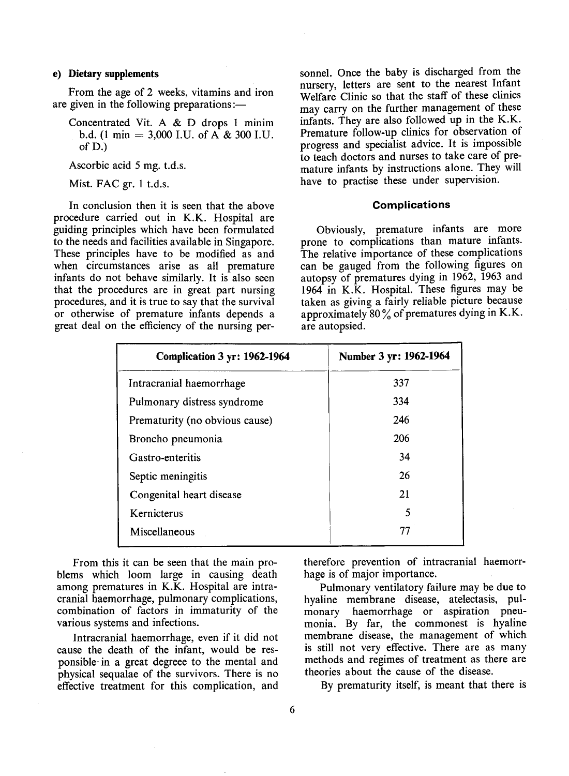# e) **Dietary supplements**

From the age of 2 weeks, vitamins and iron are given in the following preparations:—

Ascorbic acid 5 mg. t.d.s.

Mist. FAC gr. 1 t.d.s.

In conclusion then it is seen that the above procedure carried out in K.K. Hospital are guiding principles which have been formulated to the needs and facilities available in Singapore. These principles have to be modified as and when circumstances arise as all premature infants do not behave similarly. It is also seen that the procedures are in great part nursing procedures, and it is true to say that the survival or otherwise of premature infants depends a great deal on the efficiency of the nursing personnel. Once the baby is discharged from the nursery, letters are sent to the nearest Infant Welfare Clinic so that the staff of these clinics may carry on the further management of these infants. They are also followed up in the K.K. Premature follow-up clinics for observation of progress and specialist advice. It is impossible to teach doctors and nurses to take care of premature infants by instructions alone. They will have to practise these under supervision.

# **Complications**

Obviously, premature infants are more prone to complications than mature infants. The relative importance of these complications can be gauged from the following figures on autopsy of prematures dying in 1962, 1963 and 1964 in K.K. Hospital. These figures may be taken as giving a fairly reliable picture because approximately  $80\%$  of prematures dying in K.K. are autopsied.

| Complication 3 yr: 1962-1964   | Number 3 yr: 1962-1964 |
|--------------------------------|------------------------|
| Intracranial haemorrhage       | 337                    |
| Pulmonary distress syndrome    | 334                    |
| Prematurity (no obvious cause) | 246                    |
| Broncho pneumonia              | 206                    |
| Gastro-enteritis               | 34                     |
| Septic meningitis              | 26                     |
| Congenital heart disease       | 21                     |
| Kernicterus                    | 5                      |
| Miscellaneous                  |                        |

From this it can be seen that the main problems which 100m large in causing death among prematures in K.K. Hospital are intracranial haemorrhage, pulmonary complications, combination of factors in immaturity of the various systems and infections.

Intracranial haemorrhage, even if it did not cause the death of the infant, would be responsible- in a great degreee to the mental and physical sequalae of the survivors. There is no effective treatment for this complication, and

therefore prevention of intracranial haemorrhage is of major importance.

Pulmonary ventilatory failure may be due to hyaline membrane disease, atelectasis, pulmonary haemorrhage or aspiration pneumonia. By far, the commonest is hyaline membrane disease, the management of which is still not very effective. There are as many methods and regimes of treatment as there are theories about the cause of the disease.

By prematurity itself, is meant that there is

Concentrated Vit. A  $& D$  drops 1 minim b.d. (1 min = 3,000 I.U. of  $\overrightarrow{A}$  & 300 I.U. of D.)